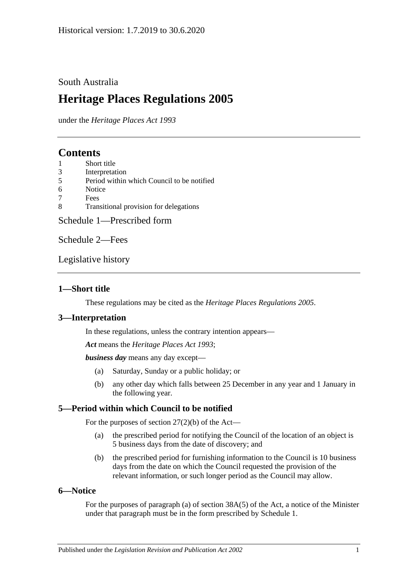### South Australia

# **Heritage Places Regulations 2005**

under the *Heritage Places Act 1993*

## **Contents**

- 1 [Short title](#page-0-0)
- 3 [Interpretation](#page-0-1)
- 5 [Period within which Council to be notified](#page-0-2)
- 6 [Notice](#page-0-3)
- 7 [Fees](#page-1-0)
- 8 [Transitional provision for delegations](#page-1-1)

[Schedule 1—Prescribed form](#page-2-0)

[Schedule 2—Fees](#page-4-0)

[Legislative history](#page-6-0)

### <span id="page-0-0"></span>**1—Short title**

These regulations may be cited as the *Heritage Places Regulations 2005*.

### <span id="page-0-1"></span>**3—Interpretation**

In these regulations, unless the contrary intention appears—

*Act* means the *[Heritage Places Act](http://www.legislation.sa.gov.au/index.aspx?action=legref&type=act&legtitle=Heritage%20Places%20Act%201993) 1993*;

*business day* means any day except—

- (a) Saturday, Sunday or a public holiday; or
- (b) any other day which falls between 25 December in any year and 1 January in the following year.

### <span id="page-0-2"></span>**5—Period within which Council to be notified**

For the purposes of section 27(2)(b) of the Act—

- (a) the prescribed period for notifying the Council of the location of an object is 5 business days from the date of discovery; and
- (b) the prescribed period for furnishing information to the Council is 10 business days from the date on which the Council requested the provision of the relevant information, or such longer period as the Council may allow.

### <span id="page-0-3"></span>**6—Notice**

For the purposes of paragraph (a) of section 38A(5) of the Act, a notice of the Minister under that paragraph must be in the form prescribed by [Schedule 1.](#page-2-0)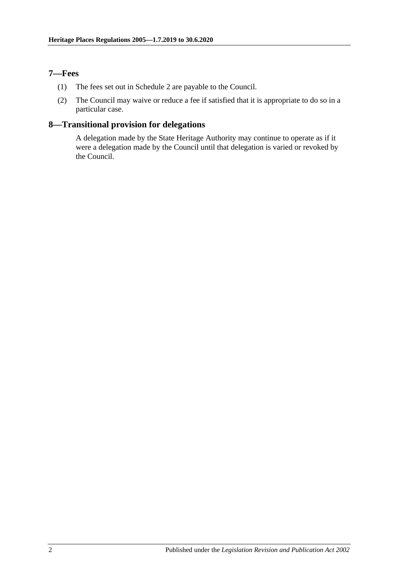### <span id="page-1-0"></span>**7—Fees**

- (1) The fees set out in Schedule 2 are payable to the Council.
- (2) The Council may waive or reduce a fee if satisfied that it is appropriate to do so in a particular case.

### <span id="page-1-1"></span>**8—Transitional provision for delegations**

A delegation made by the State Heritage Authority may continue to operate as if it were a delegation made by the Council until that delegation is varied or revoked by the Council.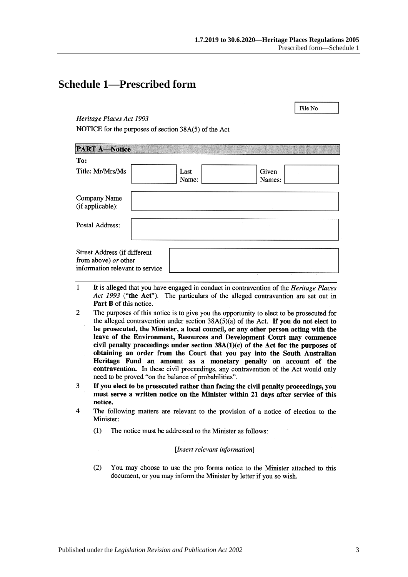File No

## <span id="page-2-0"></span>**Schedule 1—Prescribed form**

### Heritage Places Act 1993

NOTICE for the purposes of section 38A(5) of the Act

| <b>PART A-Notice</b>                                                                    |  |               |                 |  |
|-----------------------------------------------------------------------------------------|--|---------------|-----------------|--|
| To:                                                                                     |  |               |                 |  |
| Title: Mr/Mrs/Ms                                                                        |  | Last<br>Name: | Given<br>Names: |  |
| Company Name<br>(if applicable):                                                        |  |               |                 |  |
| Postal Address:                                                                         |  |               |                 |  |
| Street Address (if different<br>from above) or other<br>information relevant to service |  |               |                 |  |

- $\mathbf{1}$ It is alleged that you have engaged in conduct in contravention of the Heritage Places Act 1993 ("the Act"). The particulars of the alleged contravention are set out in Part B of this notice.
- $\overline{2}$ The purposes of this notice is to give you the opportunity to elect to be prosecuted for the alleged contravention under section  $38A(5)(a)$  of the Act. If you do not elect to be prosecuted, the Minister, a local council, or any other person acting with the leave of the Environment, Resources and Development Court may commence civil penalty proceedings under section  $38A(1)(c)$  of the Act for the purposes of obtaining an order from the Court that you pay into the South Australian Heritage Fund an amount as a monetary penalty on account of the contravention. In these civil proceedings, any contravention of the Act would only need to be proved "on the balance of probabilities".
- If you elect to be prosecuted rather than facing the civil penalty proceedings, you  $\overline{3}$ must serve a written notice on the Minister within 21 days after service of this notice.
- $\overline{\mathbf{A}}$ The following matters are relevant to the provision of a notice of election to the Minister:
	- $(1)$ The notice must be addressed to the Minister as follows:

### [Insert relevant information]

 $(2)$ You may choose to use the pro forma notice to the Minister attached to this document, or you may inform the Minister by letter if you so wish.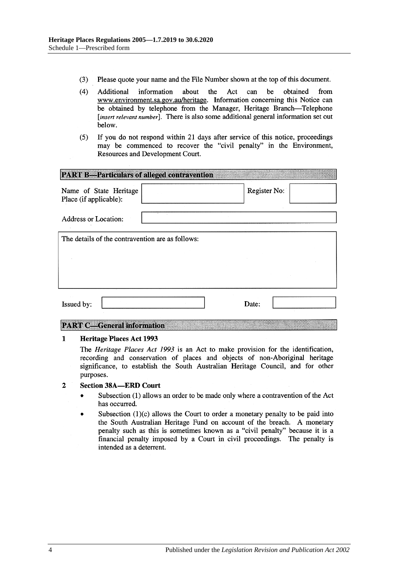- $(3)$ Please quote your name and the File Number shown at the top of this document.
- $(4)$ Act be Additional information about the can obtained from www.environment.sa.gov.au/heritage. Information concerning this Notice can be obtained by telephone from the Manager, Heritage Branch-Telephone [insert relevant number]. There is also some additional general information set out below.
- If you do not respond within 21 days after service of this notice, proceedings  $(5)$ may be commenced to recover the "civil penalty" in the Environment, Resources and Development Court.

| <b>PART B-Particulars of alleged contravention</b> |  |              |  |  |  |
|----------------------------------------------------|--|--------------|--|--|--|
| Name of State Heritage<br>Place (if applicable):   |  | Register No: |  |  |  |
| Address or Location:                               |  |              |  |  |  |
| The details of the contravention are as follows:   |  |              |  |  |  |
|                                                    |  |              |  |  |  |
|                                                    |  |              |  |  |  |
| Issued by:                                         |  | Date:        |  |  |  |

### **PART C-General information**

#### $\mathbf{1}$ Heritage Places Act 1993

The *Heritage Places Act 1993* is an Act to make provision for the identification, recording and conservation of places and objects of non-Aboriginal heritage significance, to establish the South Australian Heritage Council, and for other purposes.

#### $\overline{2}$ **Section 38A-ERD Court**

- Subsection (1) allows an order to be made only where a contravention of the Act  $\bullet$ has occurred.
- Subsection  $(1)(c)$  allows the Court to order a monetary penalty to be paid into the South Australian Heritage Fund on account of the breach. A monetary penalty such as this is sometimes known as a "civil penalty" because it is a financial penalty imposed by a Court in civil proceedings. The penalty is intended as a deterrent.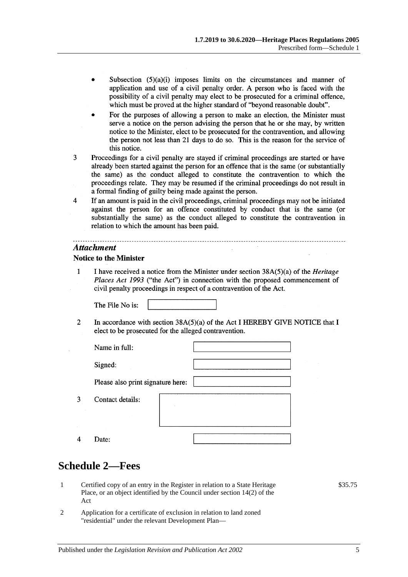- Subsection  $(5)(a)(i)$  imposes limits on the circumstances and manner of application and use of a civil penalty order. A person who is faced with the possibility of a civil penalty may elect to be prosecuted for a criminal offence, which must be proved at the higher standard of "beyond reasonable doubt".
- For the purposes of allowing a person to make an election, the Minister must serve a notice on the person advising the person that he or she may, by written notice to the Minister, elect to be prosecuted for the contravention, and allowing the person not less than 21 days to do so. This is the reason for the service of this notice.
- 3 Proceedings for a civil penalty are stayed if criminal proceedings are started or have already been started against the person for an offence that is the same (or substantially the same) as the conduct alleged to constitute the contravention to which the proceedings relate. They may be resumed if the criminal proceedings do not result in a formal finding of guilty being made against the person.
- $\overline{4}$ If an amount is paid in the civil proceedings, criminal proceedings may not be initiated against the person for an offence constituted by conduct that is the same (or substantially the same) as the conduct alleged to constitute the contravention in relation to which the amount has been paid.

### **Attachment**

### **Notice to the Minister**

I have received a notice from the Minister under section 38A(5)(a) of the *Heritage*  $\mathbf{1}$ Places Act 1993 ("the Act") in connection with the proposed commencement of civil penalty proceedings in respect of a contravention of the Act.

The File No is:

 $\overline{2}$ In accordance with section  $38A(5)(a)$  of the Act I HEREBY GIVE NOTICE that I elect to be prosecuted for the alleged contravention.

| Name in full:                     |  |  |
|-----------------------------------|--|--|
| Signed:                           |  |  |
| Please also print signature here: |  |  |
| Contact details:                  |  |  |
| Date:                             |  |  |

## <span id="page-4-0"></span>**Schedule 2—Fees**

3

 $\overline{4}$ 

- 1 Certified copy of an entry in the Register in relation to a State Heritage Place, or an object identified by the Council under section 14(2) of the Act
- 2 Application for a certificate of exclusion in relation to land zoned "residential" under the relevant Development Plan—

\$35.75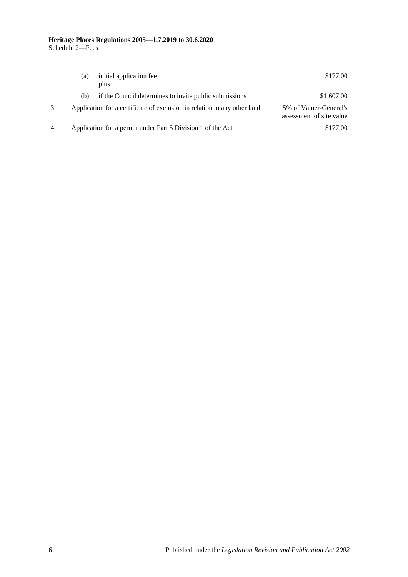|   | (a) | initial application fee<br>plus                                          | \$177.00                                           |
|---|-----|--------------------------------------------------------------------------|----------------------------------------------------|
|   | (b) | if the Council determines to invite public submissions                   | \$1 607.00                                         |
|   |     | Application for a certificate of exclusion in relation to any other land | 5% of Valuer-General's<br>assessment of site value |
| 4 |     | Application for a permit under Part 5 Division 1 of the Act              | \$177.00                                           |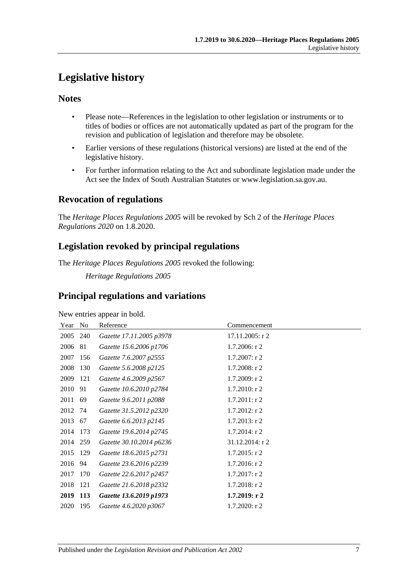# <span id="page-6-0"></span>**Legislative history**

### **Notes**

- Please note—References in the legislation to other legislation or instruments or to titles of bodies or offices are not automatically updated as part of the program for the revision and publication of legislation and therefore may be obsolete.
- Earlier versions of these regulations (historical versions) are listed at the end of the legislative history.
- For further information relating to the Act and subordinate legislation made under the Act see the Index of South Australian Statutes or www.legislation.sa.gov.au.

### **Revocation of regulations**

The *Heritage Places Regulations 2005* will be revoked by Sch 2 of the *Heritage Places Regulations 2020* on 1.8.2020.

## **Legislation revoked by principal regulations**

The *Heritage Places Regulations 2005* revoked the following:

*Heritage Regulations 2005*

## **Principal regulations and variations**

New entries appear in bold.

| Year No  |            | Reference                | Commencement     |
|----------|------------|--------------------------|------------------|
| 2005     | 240        | Gazette 17.11.2005 p3978 | 17.11.2005: r 2  |
| 2006     | 81         | Gazette 15.6.2006 p1706  | $1.7.2006$ : r 2 |
| 2007     | 156        | Gazette 7.6.2007 p2555   | $1.7.2007:$ r 2  |
| 2008     | 130        | Gazette 5.6.2008 p2125   | $1.7.2008:$ r 2  |
| 2009     | 121        | Gazette 4.6.2009 p2567   | 1.7.2009: r2     |
| 2010     | 91         | Gazette 10.6.2010 p2784  | $1.7.2010$ : r 2 |
| 2011     | 69         | Gazette 9.6.2011 p2088   | $1.7.2011:$ r 2  |
| 2012     | 74         | Gazette 31.5.2012 p2320  | $1.7.2012$ : r 2 |
| 2013     | 67         | Gazette 6.6.2013 p2145   | $1.7.2013$ : r 2 |
| 2014     | 173        | Gazette 19.6.2014 p2745  | $1.7.2014$ : r 2 |
| 2014 259 |            | Gazette 30.10.2014 p6236 | 31.12.2014: r 2  |
| 2015     | 129        | Gazette 18.6.2015 p2731  | $1.7.2015$ : r 2 |
| 2016     | 94         | Gazette 23.6.2016 p2239  | $1.7.2016$ : r 2 |
| 2017     | 170        | Gazette 22.6.2017 p2457  | $1.7.2017:$ r 2  |
| 2018     | 121        | Gazette 21.6.2018 p2332  | $1.7.2018$ : r 2 |
| 2019     | <b>113</b> | Gazette 13.6.2019 p1973  | 1.7.2019: r2     |
| 2020     | 195        | Gazette 4.6.2020 p3067   | $1.7.2020:$ r 2  |